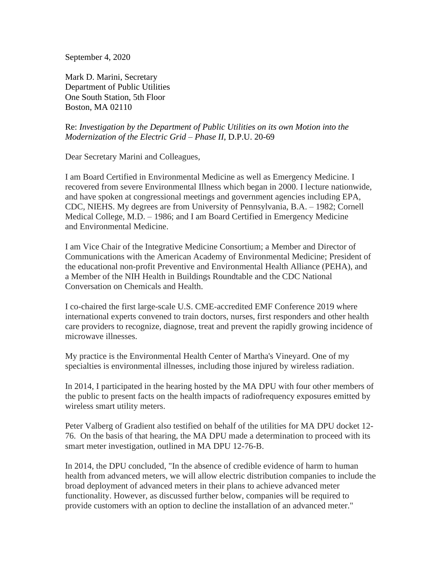September 4, 2020

Mark D. Marini, Secretary Department of Public Utilities One South Station, 5th Floor Boston, MA 02110

## Re: *Investigation by the Department of Public Utilities on its own Motion into the Modernization of the Electric Grid – Phase II*, D.P.U. 20-69

Dear Secretary Marini and Colleagues,

I am Board Certified in Environmental Medicine as well as Emergency Medicine. I recovered from severe Environmental Illness which began in 2000. I lecture nationwide, and have spoken at congressional meetings and government agencies including EPA, CDC, NIEHS. My degrees are from University of Pennsylvania, B.A. – 1982; Cornell Medical College, M.D. – 1986; and I am Board Certified in Emergency Medicine and Environmental Medicine.

I am Vice Chair of the Integrative Medicine Consortium; a Member and Director of Communications with the American Academy of Environmental Medicine; President of the educational non-profit Preventive and Environmental Health Alliance (PEHA), and a Member of the NIH Health in Buildings Roundtable and the CDC National Conversation on Chemicals and Health.

I co-chaired the first large-scale U.S. CME-accredited EMF Conference 2019 where international experts convened to train doctors, nurses, first responders and other health care providers to recognize, diagnose, treat and prevent the rapidly growing incidence of microwave illnesses.

My practice is the Environmental Health Center of Martha's Vineyard. One of my specialties is environmental illnesses, including those injured by wireless radiation.

In 2014, I participated in the hearing hosted by the MA DPU with four other members of the public to present facts on the health impacts of radiofrequency exposures emitted by wireless smart utility meters.

Peter Valberg of Gradient also testified on behalf of the utilities for MA DPU docket 12- 76. On the basis of that hearing, the MA DPU made a determination to proceed with its smart meter investigation, outlined in MA DPU 12-76-B.

In 2014, the DPU concluded, "In the absence of credible evidence of harm to human health from advanced meters, we will allow electric distribution companies to include the broad deployment of advanced meters in their plans to achieve advanced meter functionality. However, as discussed further below, companies will be required to provide customers with an option to decline the installation of an advanced meter."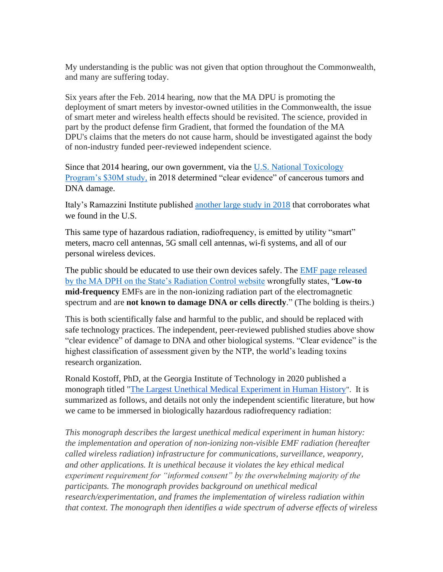My understanding is the public was not given that option throughout the Commonwealth, and many are suffering today.

Six years after the Feb. 2014 hearing, now that the MA DPU is promoting the deployment of smart meters by investor-owned utilities in the Commonwealth, the issue of smart meter and wireless health effects should be revisited. The science, provided in part by the product defense firm Gradient, that formed the foundation of the MA DPU's claims that the meters do not cause harm, should be investigated against the body of non-industry funded peer-reviewed independent science.

Since that 2014 hearing, our own government, via the [U.S. National Toxicology](https://ntp.niehs.nih.gov/results/areas/cellphones/)  [Program's \\$30M study,](https://ntp.niehs.nih.gov/results/areas/cellphones/) in 2018 determined "clear evidence" of cancerous tumors and DNA damage.

Italy's Ramazzini Institute published [another large study in 2018](https://www.sciencedirect.com/science/article/pii/S0013935118300367?via%3Dihub) that corroborates what we found in the U.S.

This same type of hazardous radiation, radiofrequency, is emitted by utility "smart" meters, macro cell antennas, 5G small cell antennas, wi-fi systems, and all of our personal wireless devices.

The public should be educated to use their own devices safely. The [EMF page released](https://www.mass.gov/info-details/electromagnetic-fields-or-emf)  [by the MA DPH on the State's Radiation Control website](https://www.mass.gov/info-details/electromagnetic-fields-or-emf) wrongfully states, "**Low-to mid-frequency** EMFs are in the non-ionizing radiation part of the electromagnetic spectrum and are **not known to damage DNA or cells directly**." (The bolding is theirs.)

This is both scientifically false and harmful to the public, and should be replaced with safe technology practices. The independent, peer-reviewed published studies above show "clear evidence" of damage to DNA and other biological systems. "Clear evidence" is the highest classification of assessment given by the NTP, the world's leading toxins research organization.

Ronald Kostoff, PhD, at the Georgia Institute of Technology in 2020 published a monograph titled ["The Largest Unethical Medical Experiment in Human History](https://smartech.gatech.edu/handle/1853/62452)". It is summarized as follows, and details not only the independent scientific literature, but how we came to be immersed in biologically hazardous radiofrequency radiation:

*This monograph describes the largest unethical medical experiment in human history: the implementation and operation of non-ionizing non-visible EMF radiation (hereafter called wireless radiation) infrastructure for communications, surveillance, weaponry,*  and other applications. It is unethical because it violates the key ethical medical *experiment requirement for "informed consent" by the overwhelming majority of the participants. The monograph provides background on unethical medical research/experimentation, and frames the implementation of wireless radiation within that context. The monograph then identifies a wide spectrum of adverse effects of wireless*